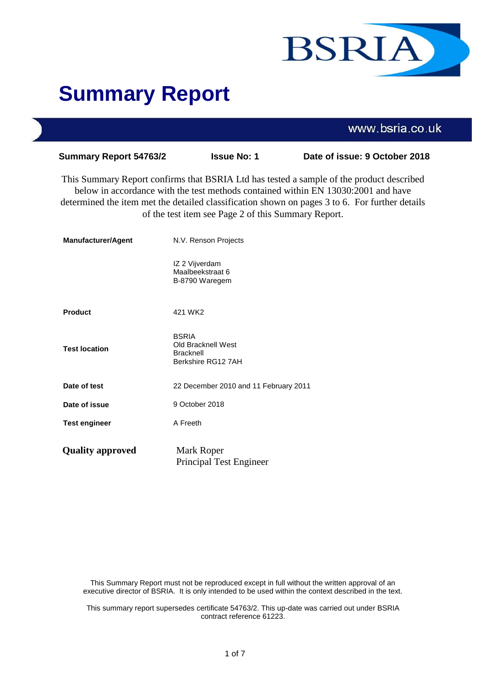

# **Summary Report**

|                               |                                                                              | www.bsria.co.uk                                                                                                                                                                                                                                                                 |
|-------------------------------|------------------------------------------------------------------------------|---------------------------------------------------------------------------------------------------------------------------------------------------------------------------------------------------------------------------------------------------------------------------------|
| <b>Summary Report 54763/2</b> | <b>Issue No: 1</b>                                                           | Date of issue: 9 October 2018                                                                                                                                                                                                                                                   |
|                               | of the test item see Page 2 of this Summary Report.                          | This Summary Report confirms that BSRIA Ltd has tested a sample of the product described<br>below in accordance with the test methods contained within EN 13030:2001 and have<br>determined the item met the detailed classification shown on pages 3 to 6. For further details |
| <b>Manufacturer/Agent</b>     | N.V. Renson Projects                                                         |                                                                                                                                                                                                                                                                                 |
|                               | IZ 2 Vijverdam<br>Maalbeekstraat 6<br>B-8790 Waregem                         |                                                                                                                                                                                                                                                                                 |
| <b>Product</b>                | 421 WK2                                                                      |                                                                                                                                                                                                                                                                                 |
| <b>Test location</b>          | <b>BSRIA</b><br>Old Bracknell West<br><b>Bracknell</b><br>Berkshire RG12 7AH |                                                                                                                                                                                                                                                                                 |
| Date of test                  | 22 December 2010 and 11 February 2011                                        |                                                                                                                                                                                                                                                                                 |
| Date of issue                 | 9 October 2018                                                               |                                                                                                                                                                                                                                                                                 |
| <b>Test engineer</b>          | A Freeth                                                                     |                                                                                                                                                                                                                                                                                 |
| <b>Quality approved</b>       | Mark Roper<br><b>Principal Test Engineer</b>                                 |                                                                                                                                                                                                                                                                                 |

This Summary Report must not be reproduced except in full without the written approval of an executive director of BSRIA. It is only intended to be used within the context described in the text.

This summary report supersedes certificate 54763/2. This up-date was carried out under BSRIA contract reference 61223.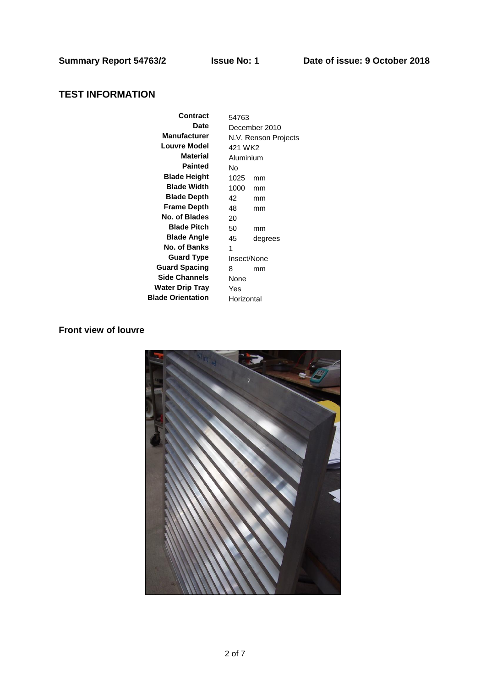# **TEST INFORMATION**

| Contract                 | 54763         |                      |  |
|--------------------------|---------------|----------------------|--|
| Date                     | December 2010 |                      |  |
| <b>Manufacturer</b>      |               | N.V. Renson Projects |  |
| <b>Louvre Model</b>      | 421 WK2       |                      |  |
| Material                 | Aluminium     |                      |  |
| Painted                  | N٥            |                      |  |
| <b>Blade Height</b>      | 1025          | mm                   |  |
| <b>Blade Width</b>       | 1000          | mm                   |  |
| <b>Blade Depth</b>       | 42            | mm                   |  |
| Frame Depth              | 48            | mm                   |  |
| No. of Blades            | 20            |                      |  |
| <b>Blade Pitch</b>       | 50            | mm                   |  |
| <b>Blade Angle</b>       | 45            | degrees              |  |
| No. of Banks             | 1             |                      |  |
| <b>Guard Type</b>        | Insect/None   |                      |  |
| <b>Guard Spacing</b>     | 8             | mm                   |  |
| <b>Side Channels</b>     | None          |                      |  |
| <b>Water Drip Tray</b>   | Yes           |                      |  |
| <b>Blade Orientation</b> | Horizontal    |                      |  |

# **Front view of louvre**

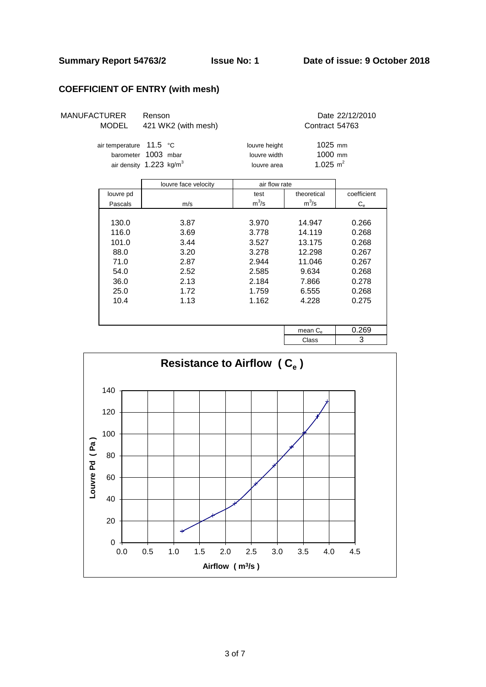## **Summary Report 54763/2 Issue No: 1 Date of issue: 9 October 2018**

# **COEFFICIENT OF ENTRY (with mesh)**

| <b>MANUFACTURER</b> | <b>MODEL</b>                         | Renson<br>421 WK2 (with mesh)                    |                                              | Contract 54763                    | Date 22/12/2010  |
|---------------------|--------------------------------------|--------------------------------------------------|----------------------------------------------|-----------------------------------|------------------|
|                     | air temperature 11.5 °C<br>barometer | 1003 mbar<br>air density 1.223 kg/m <sup>3</sup> | louvre height<br>louvre width<br>louvre area | 1025 mm<br>1000 mm<br>1.025 $m^2$ |                  |
|                     |                                      | louvre face velocity                             | air flow rate                                |                                   |                  |
|                     | louvre pd                            |                                                  | test                                         | theoretical                       | coefficient      |
|                     | Pascals                              | m/s                                              | $m^3/s$                                      | $m^3/s$                           | $\mathrm{C_{e}}$ |
|                     |                                      |                                                  |                                              |                                   |                  |
|                     | 130.0                                | 3.87                                             | 3.970                                        | 14.947                            | 0.266            |
|                     | 116.0                                | 3.69                                             | 3.778                                        | 14.119                            | 0.268            |
|                     | 101.0                                | 3.44                                             | 3.527                                        | 13.175                            | 0.268            |
|                     | 88.0                                 | 3.20                                             | 3.278                                        | 12.298                            | 0.267            |
|                     | 71.0                                 | 2.87                                             | 2.944                                        | 11.046                            | 0.267            |
|                     | 54.0                                 | 2.52                                             | 2.585                                        | 9.634                             | 0.268            |
|                     | 36.0                                 | 2.13                                             | 2.184                                        | 7.866                             | 0.278            |
|                     | 25.0                                 | 1.72                                             | 1.759                                        | 6.555                             | 0.268            |
|                     | 10.4                                 | 1.13                                             | 1.162                                        | 4.228                             | 0.275            |
|                     |                                      |                                                  |                                              |                                   |                  |
|                     |                                      |                                                  |                                              | mean $C_{e}$                      | 0.269            |
|                     |                                      |                                                  |                                              | Class                             | 3                |

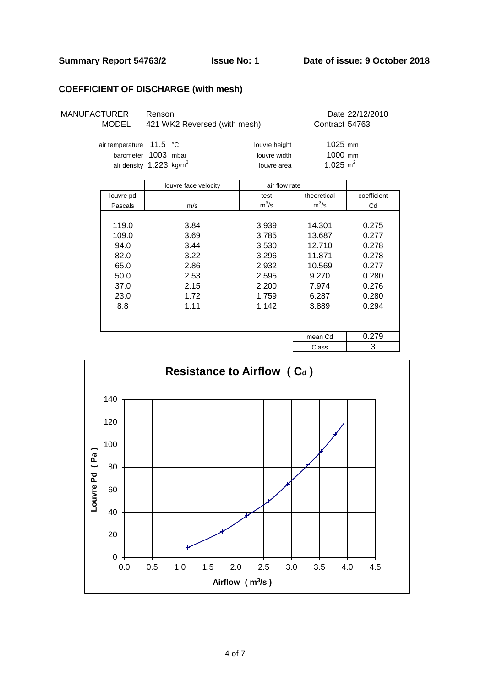# **COEFFICIENT OF DISCHARGE (with mesh)**

| MANUFACTURER | <b>MODEL</b>            | Renson<br>421 WK2 Reversed (with mesh)                       |                                              | Contract 54763                      | Date 22/12/2010 |
|--------------|-------------------------|--------------------------------------------------------------|----------------------------------------------|-------------------------------------|-----------------|
|              | air temperature 11.5 °C | barometer 1003 mbar<br>air density $1.223$ kg/m <sup>3</sup> | louvre height<br>louvre width<br>louvre area | $1025$ mm<br>1000 mm<br>1.025 $m^2$ |                 |
|              |                         | louvre face velocity                                         | air flow rate                                |                                     |                 |
|              | louvre pd               |                                                              | test                                         | theoretical                         | coefficient     |
|              | Pascals                 | m/s                                                          | $m^3/s$                                      | $m^3/s$                             | Cd              |
|              |                         |                                                              |                                              |                                     |                 |
|              | 119.0                   | 3.84                                                         | 3.939                                        | 14.301                              | 0.275           |
|              | 109.0                   | 3.69                                                         | 3.785                                        | 13.687                              | 0.277           |
|              | 94.0                    | 3.44                                                         | 3.530                                        | 12.710                              | 0.278           |
|              | 82.0                    | 3.22                                                         | 3.296                                        | 11.871                              | 0.278           |
|              | 65.0                    | 2.86                                                         | 2.932                                        | 10.569                              | 0.277           |
|              | 50 O                    | つよつ                                                          | O ROK                                        | a 270                               | n seu           |

| 119.0 | 3.84 | 3.939 | 14.301  | 0.275 |
|-------|------|-------|---------|-------|
| 109.0 | 3.69 | 3.785 | 13.687  | 0.277 |
| 94.0  | 3.44 | 3.530 | 12.710  | 0.278 |
| 82.0  | 3.22 | 3.296 | 11.871  | 0.278 |
| 65.0  | 2.86 | 2.932 | 10.569  | 0.277 |
| 50.0  | 2.53 | 2.595 | 9.270   | 0.280 |
| 37.0  | 2.15 | 2.200 | 7.974   | 0.276 |
| 23.0  | 1.72 | 1.759 | 6.287   | 0.280 |
| 8.8   | 1.11 | 1.142 | 3.889   | 0.294 |
|       |      |       |         |       |
|       |      |       | mean Cd | 0.279 |
|       |      |       | Class   | 3     |

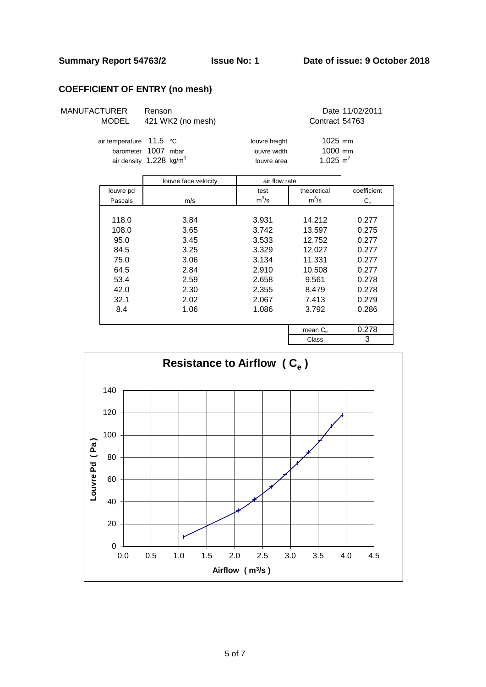# **COEFFICIENT OF ENTRY (no mesh)**

| <b>MANUFACTURER</b> | Renson          |
|---------------------|-----------------|
| MODEL               | 421 WK2 (no mes |

Date 11/02/2011<br>
Sh) Contract 54763 Contract 54763

| air temperature<br>barometer | 11.5 °C<br>1007 mbar<br>air density $1.228$ kg/m <sup>3</sup> | louvre height<br>louvre width<br>louvre area | $1025$ mm<br>1000 mm<br>1.025 $m^2$ |                  |
|------------------------------|---------------------------------------------------------------|----------------------------------------------|-------------------------------------|------------------|
|                              | louvre face velocity                                          | air flow rate                                |                                     |                  |
| louvre pd                    |                                                               | test                                         | theoretical                         | coefficient      |
| Pascals                      | m/s                                                           | $m^3/s$                                      | $m^3/s$                             | $\mathrm{C_{e}}$ |
|                              |                                                               |                                              |                                     |                  |
| 118.0                        | 3.84                                                          | 3.931                                        | 14.212                              | 0.277            |
| 108.0                        | 3.65                                                          | 3.742                                        | 13.597                              | 0.275            |
| 95.0                         | 3.45                                                          | 3.533                                        | 12.752                              | 0.277            |
| 84.5                         | 3.25                                                          | 3.329                                        | 12.027                              | 0.277            |
| 75.0                         | 3.06                                                          | 3.134                                        | 11.331                              | 0.277            |
| 64.5                         | 2.84                                                          | 2.910                                        | 10.508                              | 0.277            |
| 53.4                         | 2.59                                                          | 2.658                                        | 9.561                               | 0.278            |
| 42.0                         | 2.30                                                          | 2.355                                        | 8.479                               | 0.278            |
| 32.1                         | 2.02                                                          | 2.067                                        | 7.413                               | 0.279            |
| 8.4                          | 1.06                                                          | 1.086                                        | 3.792                               | 0.286            |
|                              |                                                               |                                              | mean $C_{\alpha}$                   | 0.278            |

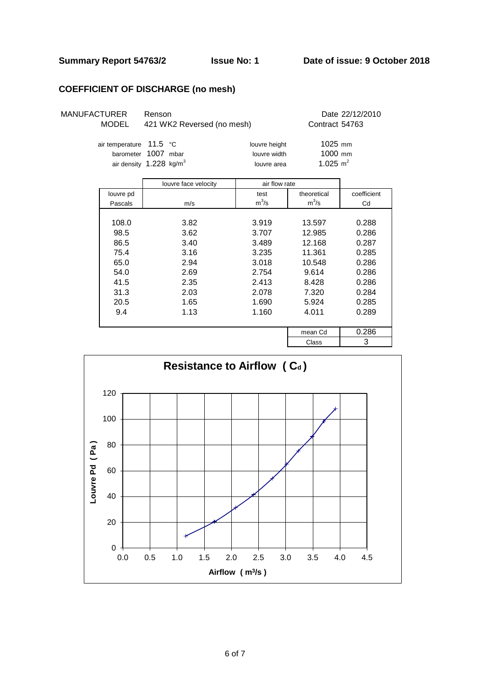### **COEFFICIENT OF DISCHARGE (no mesh)**

| <b>MANUFACTURER</b> | Renson                     | Date 22/12/2010 |
|---------------------|----------------------------|-----------------|
| MODEL               | 421 WK2 Reversed (no mesh) | Contract 54763  |

|                | Date 22/12/2010 |
|----------------|-----------------|
| Contract 54763 |                 |

| air temperature $11.5$ °C             |  | louvre height | $1025$ mm   |
|---------------------------------------|--|---------------|-------------|
| barometer 1007 mbar                   |  | louvre width  | $1000$ mm   |
| air density $1.228$ kg/m <sup>3</sup> |  | louvre area   | 1.025 $m^2$ |

|           | louvre face velocity | air flow rate |             |             |  |  |
|-----------|----------------------|---------------|-------------|-------------|--|--|
| louvre pd |                      | test          | theoretical | coefficient |  |  |
| Pascals   | m/s                  | $m^3/s$       | $m^3/s$     | Cd          |  |  |
|           |                      |               |             |             |  |  |
| 108.0     | 3.82                 | 3.919         | 13.597      | 0.288       |  |  |
| 98.5      | 3.62                 | 3.707         | 12.985      | 0.286       |  |  |
| 86.5      | 3.40                 | 3.489         | 12.168      | 0.287       |  |  |
| 75.4      | 3.16                 | 3.235         | 11.361      | 0.285       |  |  |
| 65.0      | 2.94                 | 3.018         | 10.548      | 0.286       |  |  |
| 54.0      | 2.69                 | 2.754         | 9.614       | 0.286       |  |  |
| 41.5      | 2.35                 | 2.413         | 8.428       | 0.286       |  |  |
| 31.3      | 2.03                 | 2.078         | 7.320       | 0.284       |  |  |
| 20.5      | 1.65                 | 1.690         | 5.924       | 0.285       |  |  |
| 9.4       | 1.13                 | 1.160         | 4.011       | 0.289       |  |  |
|           |                      |               |             |             |  |  |
|           |                      |               | mean Cd     | 0.286       |  |  |
|           |                      |               | $\sim$      | C           |  |  |